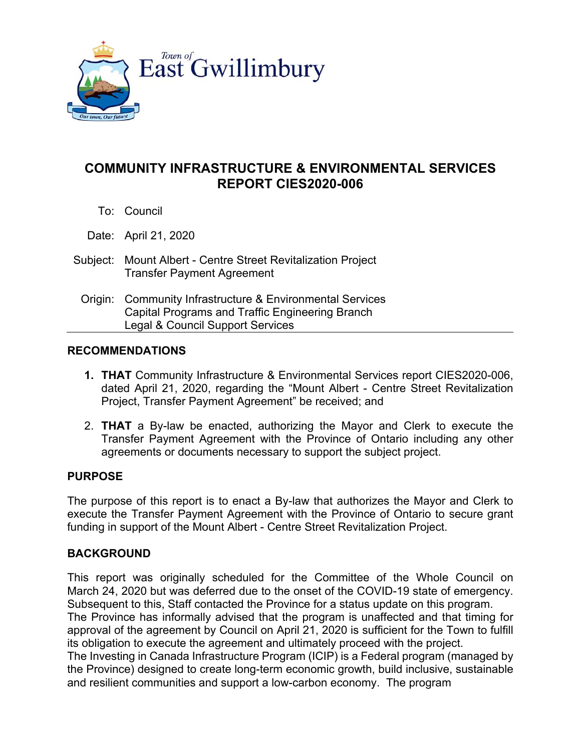

# **COMMUNITY INFRASTRUCTURE & ENVIRONMENTAL SERVICES REPORT CIES2020-006**

To: Council

Date: April 21, 2020

- Subject: Mount Albert Centre Street Revitalization Project Transfer Payment Agreement
	- Origin: Community Infrastructure & Environmental Services Capital Programs and Traffic Engineering Branch Legal & Council Support Services

## **RECOMMENDATIONS**

- **1. THAT** Community Infrastructure & Environmental Services report CIES2020-006, dated April 21, 2020, regarding the "Mount Albert - Centre Street Revitalization Project, Transfer Payment Agreement" be received; and
- 2. **THAT** a By-law be enacted, authorizing the Mayor and Clerk to execute the Transfer Payment Agreement with the Province of Ontario including any other agreements or documents necessary to support the subject project.

## **PURPOSE**

The purpose of this report is to enact a By-law that authorizes the Mayor and Clerk to execute the Transfer Payment Agreement with the Province of Ontario to secure grant funding in support of the Mount Albert - Centre Street Revitalization Project.

## **BACKGROUND**

This report was originally scheduled for the Committee of the Whole Council on March 24, 2020 but was deferred due to the onset of the COVID-19 state of emergency. Subsequent to this, Staff contacted the Province for a status update on this program.

The Province has informally advised that the program is unaffected and that timing for approval of the agreement by Council on April 21, 2020 is sufficient for the Town to fulfill its obligation to execute the agreement and ultimately proceed with the project.

The Investing in Canada Infrastructure Program (ICIP) is a Federal program (managed by the Province) designed to create long-term economic growth, build inclusive, sustainable and resilient communities and support a low-carbon economy. The program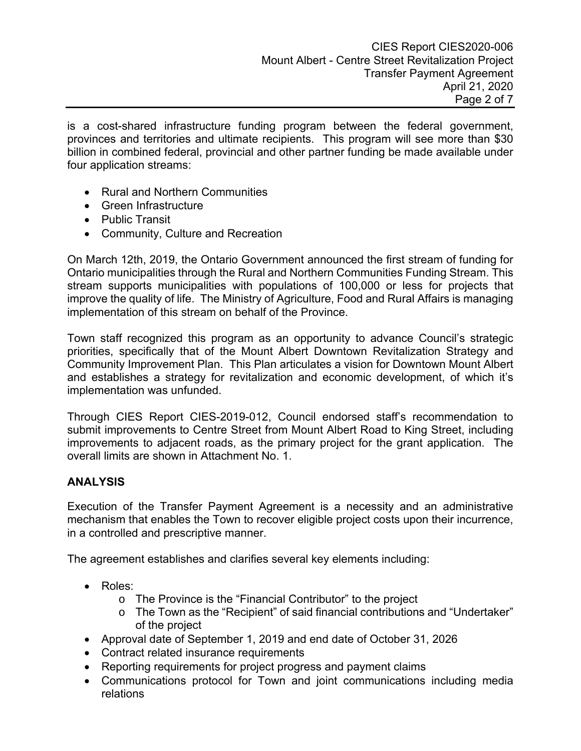is a cost-shared infrastructure funding program between the federal government, provinces and territories and ultimate recipients. This program will see more than \$30 billion in combined federal, provincial and other partner funding be made available under four application streams:

- Rural and Northern Communities
- Green Infrastructure
- Public Transit
- Community, Culture and Recreation

On March 12th, 2019, the Ontario Government announced the first stream of funding for Ontario municipalities through the Rural and Northern Communities Funding Stream. This stream supports municipalities with populations of 100,000 or less for projects that improve the quality of life. The Ministry of Agriculture, Food and Rural Affairs is managing implementation of this stream on behalf of the Province.

Town staff recognized this program as an opportunity to advance Council's strategic priorities, specifically that of the Mount Albert Downtown Revitalization Strategy and Community Improvement Plan. This Plan articulates a vision for Downtown Mount Albert and establishes a strategy for revitalization and economic development, of which it's implementation was unfunded.

Through CIES Report CIES-2019-012, Council endorsed staff's recommendation to submit improvements to Centre Street from Mount Albert Road to King Street, including improvements to adjacent roads, as the primary project for the grant application. The overall limits are shown in Attachment No. 1.

# **ANALYSIS**

Execution of the Transfer Payment Agreement is a necessity and an administrative mechanism that enables the Town to recover eligible project costs upon their incurrence, in a controlled and prescriptive manner.

The agreement establishes and clarifies several key elements including:

- Roles:
	- o The Province is the "Financial Contributor" to the project
	- o The Town as the "Recipient" of said financial contributions and "Undertaker" of the project
- Approval date of September 1, 2019 and end date of October 31, 2026
- Contract related insurance requirements
- Reporting requirements for project progress and payment claims
- Communications protocol for Town and joint communications including media relations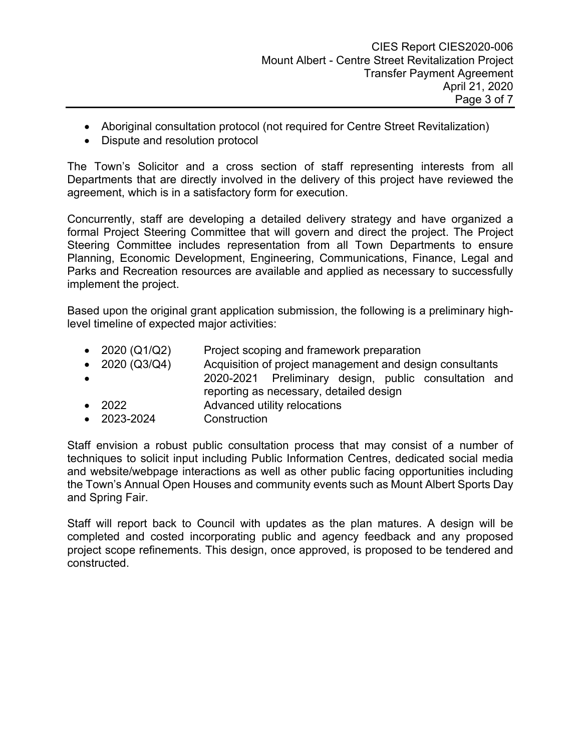- Aboriginal consultation protocol (not required for Centre Street Revitalization)
- Dispute and resolution protocol

The Town's Solicitor and a cross section of staff representing interests from all Departments that are directly involved in the delivery of this project have reviewed the agreement, which is in a satisfactory form for execution.

Concurrently, staff are developing a detailed delivery strategy and have organized a formal Project Steering Committee that will govern and direct the project. The Project Steering Committee includes representation from all Town Departments to ensure Planning, Economic Development, Engineering, Communications, Finance, Legal and Parks and Recreation resources are available and applied as necessary to successfully implement the project.

Based upon the original grant application submission, the following is a preliminary highlevel timeline of expected major activities:

- 2020 (Q1/Q2) Project scoping and framework preparation
- 2020 (Q3/Q4) Acquisition of project management and design consultants 2020-2021 Preliminary design, public consultation and reporting as necessary, detailed design
- 2022 Advanced utility relocations
- 2023-2024 Construction

Staff envision a robust public consultation process that may consist of a number of techniques to solicit input including Public Information Centres, dedicated social media and website/webpage interactions as well as other public facing opportunities including the Town's Annual Open Houses and community events such as Mount Albert Sports Day and Spring Fair.

Staff will report back to Council with updates as the plan matures. A design will be completed and costed incorporating public and agency feedback and any proposed project scope refinements. This design, once approved, is proposed to be tendered and constructed.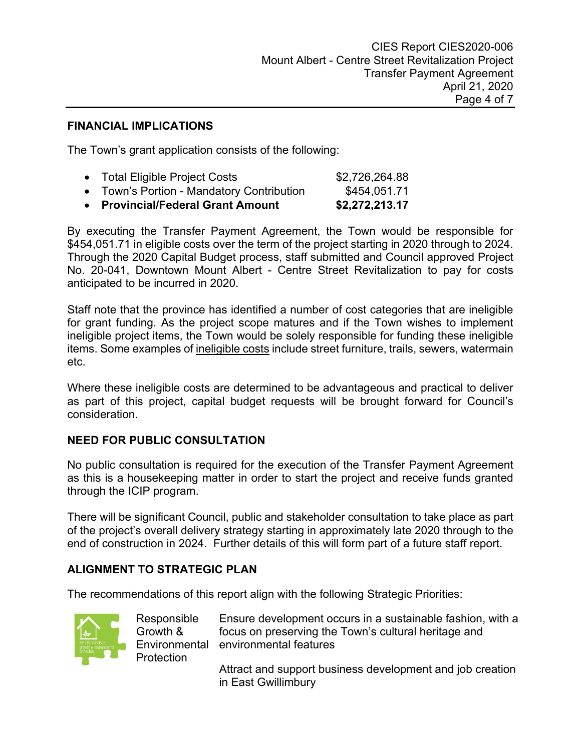## **FINANCIAL IMPLICATIONS**

The Town's grant application consists of the following:

| • Provincial/Federal Grant Amount         | \$2,272,213.17 |
|-------------------------------------------|----------------|
| • Town's Portion - Mandatory Contribution | \$454,051.71   |
| • Total Eligible Project Costs            | \$2,726,264.88 |

By executing the Transfer Payment Agreement, the Town would be responsible for \$454,051.71 in eligible costs over the term of the project starting in 2020 through to 2024. Through the 2020 Capital Budget process, staff submitted and Council approved Project No. 20-041, Downtown Mount Albert - Centre Street Revitalization to pay for costs anticipated to be incurred in 2020.

Staff note that the province has identified a number of cost categories that are ineligible for grant funding. As the project scope matures and if the Town wishes to implement ineligible project items, the Town would be solely responsible for funding these ineligible items. Some examples of ineligible costs include street furniture, trails, sewers, watermain etc.

Where these ineligible costs are determined to be advantageous and practical to deliver as part of this project, capital budget requests will be brought forward for Council's consideration.

## **NEED FOR PUBLIC CONSULTATION**

No public consultation is required for the execution of the Transfer Payment Agreement as this is a housekeeping matter in order to start the project and receive funds granted through the ICIP program.

There will be significant Council, public and stakeholder consultation to take place as part of the project's overall delivery strategy starting in approximately late 2020 through to the end of construction in 2024. Further details of this will form part of a future staff report.

## **ALIGNMENT TO STRATEGIC PLAN**

Growth &

**Protection** 

The recommendations of this report align with the following Strategic Priorities:



Responsible Environmental environmental features Ensure development occurs in a sustainable fashion, with a focus on preserving the Town's cultural heritage and

> Attract and support business development and job creation in East Gwillimbury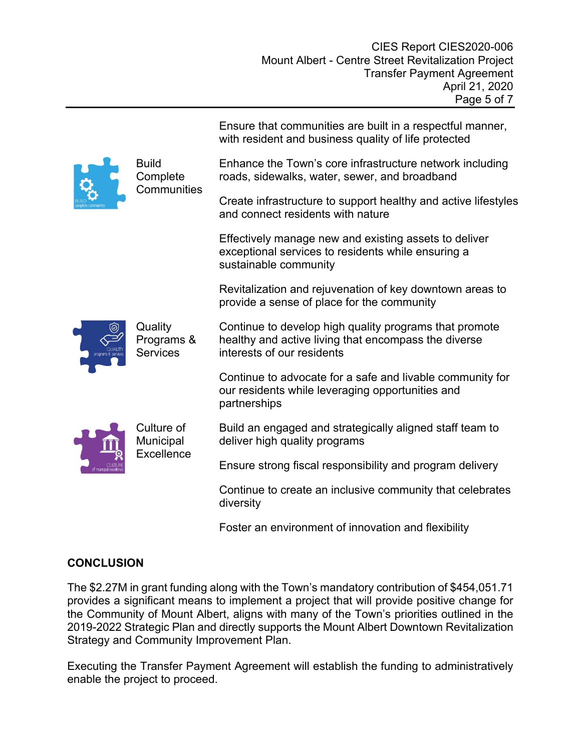|  |                                          | Ensure that communities are built in a respectful manner,<br>with resident and business quality of life protected                            |
|--|------------------------------------------|----------------------------------------------------------------------------------------------------------------------------------------------|
|  | <b>Build</b><br>Complete<br>Communities  | Enhance the Town's core infrastructure network including<br>roads, sidewalks, water, sewer, and broadband                                    |
|  |                                          | Create infrastructure to support healthy and active lifestyles<br>and connect residents with nature                                          |
|  |                                          | Effectively manage new and existing assets to deliver<br>exceptional services to residents while ensuring a<br>sustainable community         |
|  |                                          | Revitalization and rejuvenation of key downtown areas to<br>provide a sense of place for the community                                       |
|  | Quality<br>Programs &<br><b>Services</b> | Continue to develop high quality programs that promote<br>healthy and active living that encompass the diverse<br>interests of our residents |
|  |                                          | Continue to advocate for a safe and livable community for<br>our residents while leveraging opportunities and<br>partnerships                |
|  | Culture of<br>Municipal<br>Excellence    | Build an engaged and strategically aligned staff team to<br>deliver high quality programs                                                    |
|  |                                          | Ensure strong fiscal responsibility and program delivery                                                                                     |
|  |                                          | Continue to create an inclusive community that celebrates<br>diversity                                                                       |
|  |                                          | Foster an environment of innovation and flexibility                                                                                          |

# **CONCLUSION**

The \$2.27M in grant funding along with the Town's mandatory contribution of \$454,051.71 provides a significant means to implement a project that will provide positive change for the Community of Mount Albert, aligns with many of the Town's priorities outlined in the 2019-2022 Strategic Plan and directly supports the Mount Albert Downtown Revitalization Strategy and Community Improvement Plan.

Executing the Transfer Payment Agreement will establish the funding to administratively enable the project to proceed.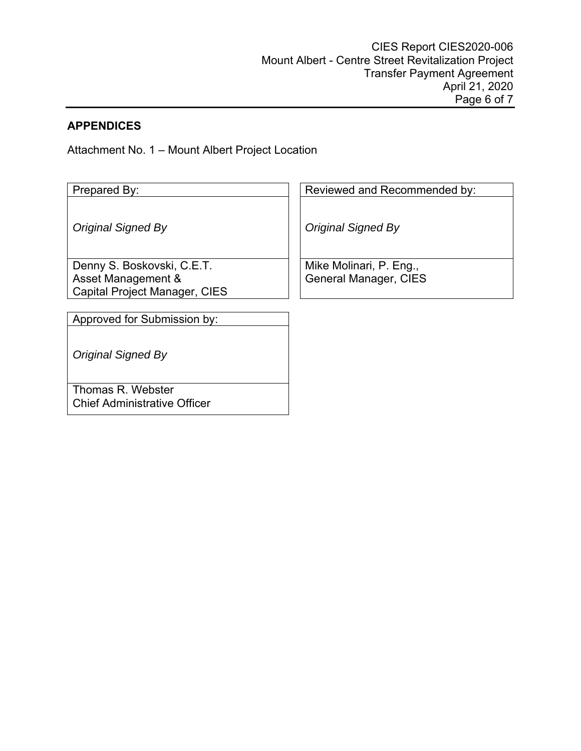# **APPENDICES**

Attachment No. 1 – Mount Albert Project Location

| Prepared By:                                                                             | Reviewed and Recommended by:                            |
|------------------------------------------------------------------------------------------|---------------------------------------------------------|
| Original Signed By                                                                       | <b>Original Signed By</b>                               |
| Denny S. Boskovski, C.E.T.<br>Asset Management &<br><b>Capital Project Manager, CIES</b> | Mike Molinari, P. Eng.,<br><b>General Manager, CIES</b> |
|                                                                                          |                                                         |
| Approved for Submission by:                                                              |                                                         |
| <b>Original Signed By</b>                                                                |                                                         |
| Thomas R. Webster<br><b>Chief Administrative Officer</b>                                 |                                                         |